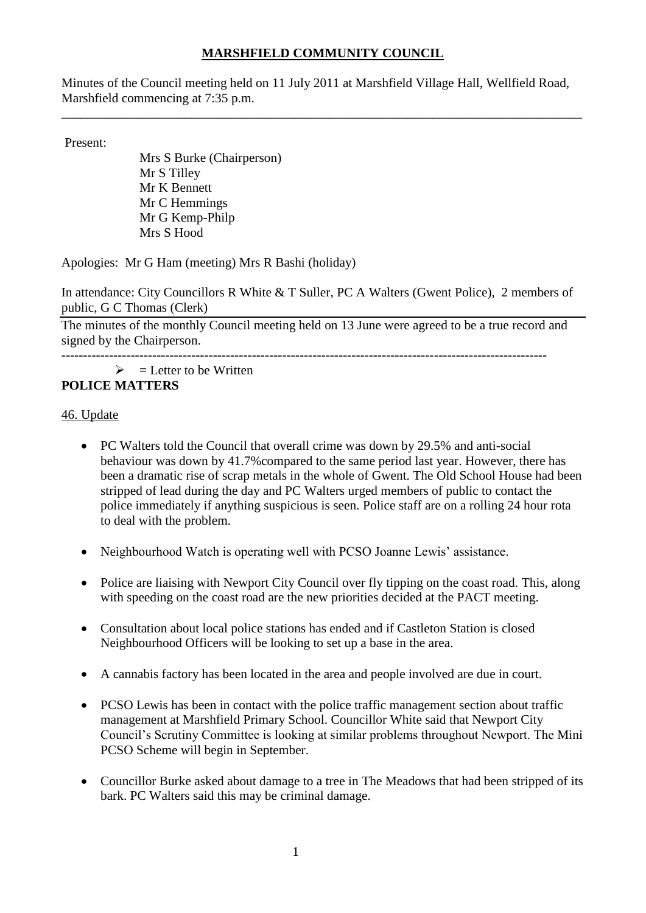# **MARSHFIELD COMMUNITY COUNCIL**

Minutes of the Council meeting held on 11 July 2011 at Marshfield Village Hall, Wellfield Road, Marshfield commencing at 7:35 p.m.

\_\_\_\_\_\_\_\_\_\_\_\_\_\_\_\_\_\_\_\_\_\_\_\_\_\_\_\_\_\_\_\_\_\_\_\_\_\_\_\_\_\_\_\_\_\_\_\_\_\_\_\_\_\_\_\_\_\_\_\_\_\_\_\_\_\_\_\_\_\_\_\_\_\_\_\_\_\_\_\_

Present:

Mrs S Burke (Chairperson) Mr S Tilley Mr K Bennett Mr C Hemmings Mr G Kemp-Philp Mrs S Hood

Apologies: Mr G Ham (meeting) Mrs R Bashi (holiday)

In attendance: City Councillors R White & T Suller, PC A Walters (Gwent Police), 2 members of public, G C Thomas (Clerk)

The minutes of the monthly Council meeting held on 13 June were agreed to be a true record and signed by the Chairperson.

----------------------------------------------------------------------------------------------------------------

#### $\triangleright$  = Letter to be Written **POLICE MATTERS**

# 46. Update

- PC Walters told the Council that overall crime was down by 29.5% and anti-social behaviour was down by 41.7%compared to the same period last year. However, there has been a dramatic rise of scrap metals in the whole of Gwent. The Old School House had been stripped of lead during the day and PC Walters urged members of public to contact the police immediately if anything suspicious is seen. Police staff are on a rolling 24 hour rota to deal with the problem.
- Neighbourhood Watch is operating well with PCSO Joanne Lewis' assistance.
- Police are liaising with Newport City Council over fly tipping on the coast road. This, along with speeding on the coast road are the new priorities decided at the PACT meeting.
- Consultation about local police stations has ended and if Castleton Station is closed Neighbourhood Officers will be looking to set up a base in the area.
- A cannabis factory has been located in the area and people involved are due in court.
- PCSO Lewis has been in contact with the police traffic management section about traffic management at Marshfield Primary School. Councillor White said that Newport City Council's Scrutiny Committee is looking at similar problems throughout Newport. The Mini PCSO Scheme will begin in September.
- Councillor Burke asked about damage to a tree in The Meadows that had been stripped of its bark. PC Walters said this may be criminal damage.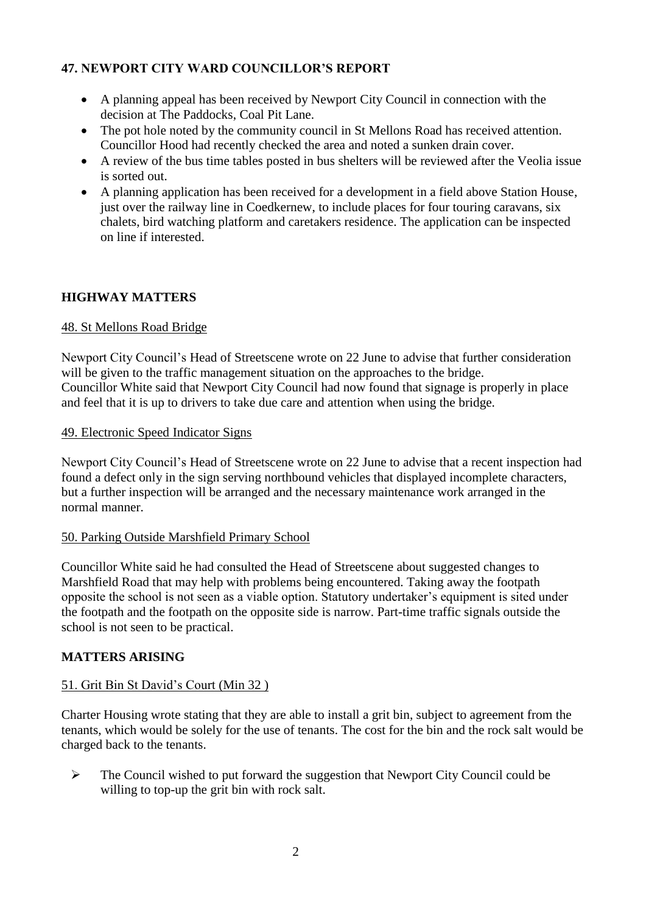# **47. NEWPORT CITY WARD COUNCILLOR'S REPORT**

- A planning appeal has been received by Newport City Council in connection with the decision at The Paddocks, Coal Pit Lane.
- The pot hole noted by the community council in St Mellons Road has received attention. Councillor Hood had recently checked the area and noted a sunken drain cover.
- A review of the bus time tables posted in bus shelters will be reviewed after the Veolia issue is sorted out.
- A planning application has been received for a development in a field above Station House, just over the railway line in Coedkernew, to include places for four touring caravans, six chalets, bird watching platform and caretakers residence. The application can be inspected on line if interested.

# **HIGHWAY MATTERS**

# 48. St Mellons Road Bridge

Newport City Council's Head of Streetscene wrote on 22 June to advise that further consideration will be given to the traffic management situation on the approaches to the bridge. Councillor White said that Newport City Council had now found that signage is properly in place and feel that it is up to drivers to take due care and attention when using the bridge.

### 49. Electronic Speed Indicator Signs

Newport City Council's Head of Streetscene wrote on 22 June to advise that a recent inspection had found a defect only in the sign serving northbound vehicles that displayed incomplete characters, but a further inspection will be arranged and the necessary maintenance work arranged in the normal manner.

### 50. Parking Outside Marshfield Primary School

Councillor White said he had consulted the Head of Streetscene about suggested changes to Marshfield Road that may help with problems being encountered. Taking away the footpath opposite the school is not seen as a viable option. Statutory undertaker's equipment is sited under the footpath and the footpath on the opposite side is narrow. Part-time traffic signals outside the school is not seen to be practical.

# **MATTERS ARISING**

# 51. Grit Bin St David's Court (Min 32 )

Charter Housing wrote stating that they are able to install a grit bin, subject to agreement from the tenants, which would be solely for the use of tenants. The cost for the bin and the rock salt would be charged back to the tenants.

 $\triangleright$  The Council wished to put forward the suggestion that Newport City Council could be willing to top-up the grit bin with rock salt.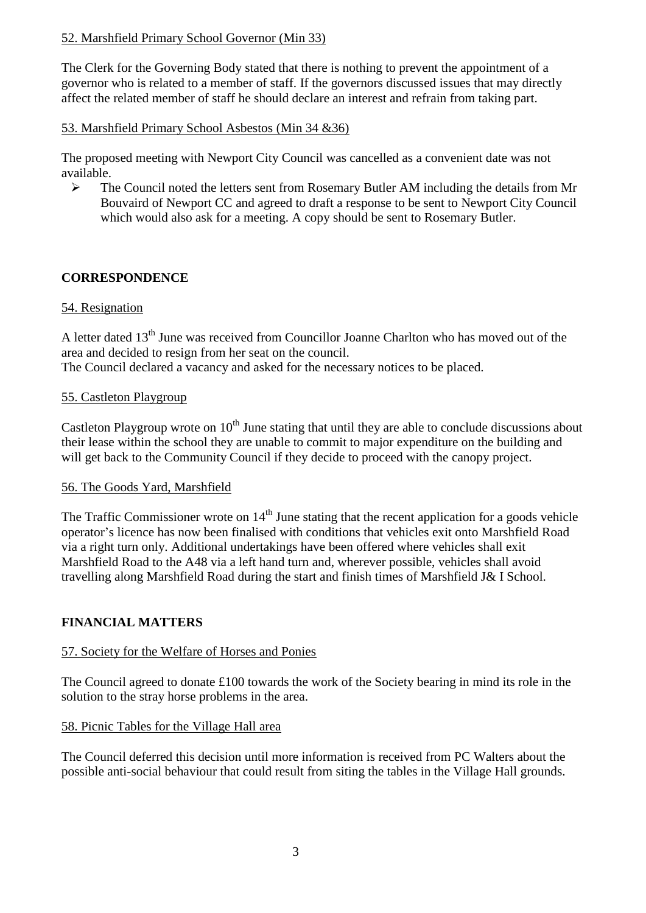# 52. Marshfield Primary School Governor (Min 33)

The Clerk for the Governing Body stated that there is nothing to prevent the appointment of a governor who is related to a member of staff. If the governors discussed issues that may directly affect the related member of staff he should declare an interest and refrain from taking part.

## 53. Marshfield Primary School Asbestos (Min 34 &36)

The proposed meeting with Newport City Council was cancelled as a convenient date was not available.

 $\triangleright$  The Council noted the letters sent from Rosemary Butler AM including the details from Mr Bouvaird of Newport CC and agreed to draft a response to be sent to Newport City Council which would also ask for a meeting. A copy should be sent to Rosemary Butler.

# **CORRESPONDENCE**

# 54. Resignation

A letter dated  $13<sup>th</sup>$  June was received from Councillor Joanne Charlton who has moved out of the area and decided to resign from her seat on the council. The Council declared a vacancy and asked for the necessary notices to be placed.

# 55. Castleton Playgroup

Castleton Playgroup wrote on  $10<sup>th</sup>$  June stating that until they are able to conclude discussions about their lease within the school they are unable to commit to major expenditure on the building and will get back to the Community Council if they decide to proceed with the canopy project.

### 56. The Goods Yard, Marshfield

The Traffic Commissioner wrote on  $14<sup>th</sup>$  June stating that the recent application for a goods vehicle operator's licence has now been finalised with conditions that vehicles exit onto Marshfield Road via a right turn only. Additional undertakings have been offered where vehicles shall exit Marshfield Road to the A48 via a left hand turn and, wherever possible, vehicles shall avoid travelling along Marshfield Road during the start and finish times of Marshfield J& I School.

# **FINANCIAL MATTERS**

### 57. Society for the Welfare of Horses and Ponies

The Council agreed to donate £100 towards the work of the Society bearing in mind its role in the solution to the stray horse problems in the area.

### 58. Picnic Tables for the Village Hall area

The Council deferred this decision until more information is received from PC Walters about the possible anti-social behaviour that could result from siting the tables in the Village Hall grounds.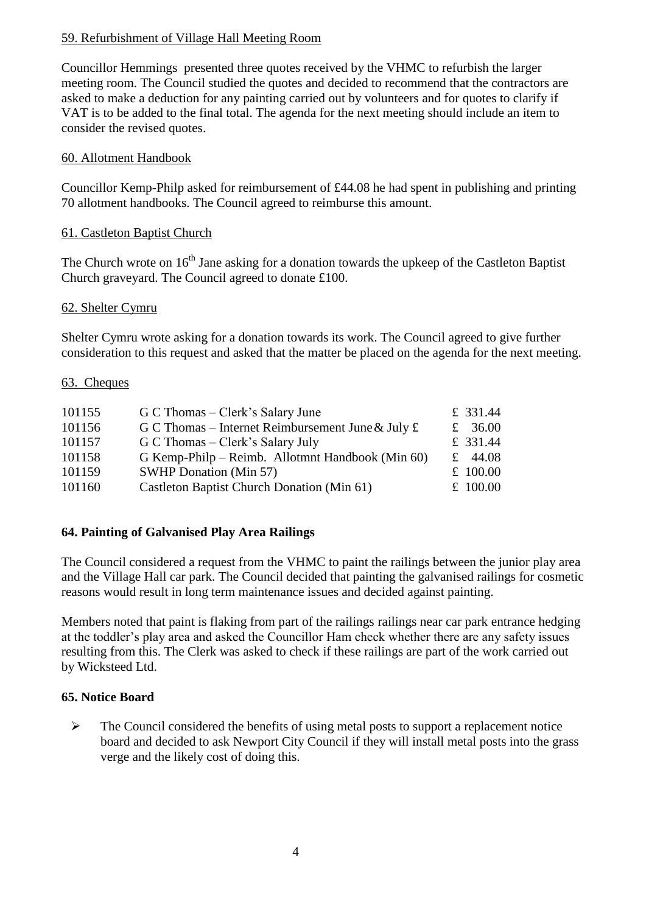## 59. Refurbishment of Village Hall Meeting Room

Councillor Hemmings presented three quotes received by the VHMC to refurbish the larger meeting room. The Council studied the quotes and decided to recommend that the contractors are asked to make a deduction for any painting carried out by volunteers and for quotes to clarify if VAT is to be added to the final total. The agenda for the next meeting should include an item to consider the revised quotes.

## 60. Allotment Handbook

Councillor Kemp-Philp asked for reimbursement of £44.08 he had spent in publishing and printing 70 allotment handbooks. The Council agreed to reimburse this amount.

# 61. Castleton Baptist Church

The Church wrote on 16<sup>th</sup> Jane asking for a donation towards the upkeep of the Castleton Baptist Church graveyard. The Council agreed to donate £100.

# 62. Shelter Cymru

Shelter Cymru wrote asking for a donation towards its work. The Council agreed to give further consideration to this request and asked that the matter be placed on the agenda for the next meeting.

### 63. Cheques

| 101155 | G C Thomas – Clerk's Salary June                  | £ 331.44   |
|--------|---------------------------------------------------|------------|
| 101156 | G C Thomas – Internet Reimbursement June & July £ | £ 36.00    |
| 101157 | G C Thomas – Clerk's Salary July                  | £ 331.44   |
| 101158 | G Kemp-Philp – Reimb. Allotmnt Handbook (Min 60)  | £ 44.08    |
| 101159 | <b>SWHP Donation (Min 57)</b>                     | £ $100.00$ |
| 101160 | Castleton Baptist Church Donation (Min 61)        | £ $100.00$ |

### **64. Painting of Galvanised Play Area Railings**

The Council considered a request from the VHMC to paint the railings between the junior play area and the Village Hall car park. The Council decided that painting the galvanised railings for cosmetic reasons would result in long term maintenance issues and decided against painting.

Members noted that paint is flaking from part of the railings railings near car park entrance hedging at the toddler's play area and asked the Councillor Ham check whether there are any safety issues resulting from this. The Clerk was asked to check if these railings are part of the work carried out by Wicksteed Ltd.

### **65. Notice Board**

 $\triangleright$  The Council considered the benefits of using metal posts to support a replacement notice board and decided to ask Newport City Council if they will install metal posts into the grass verge and the likely cost of doing this.